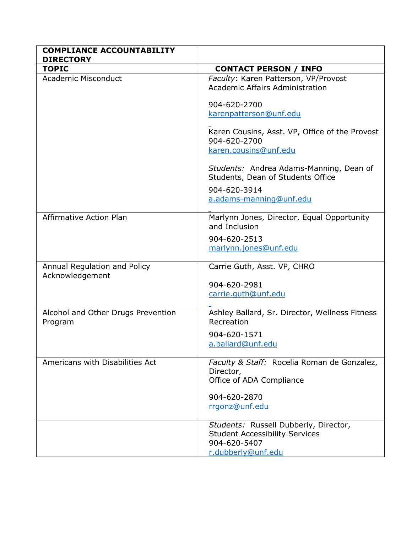| <b>COMPLIANCE ACCOUNTABILITY</b><br><b>DIRECTORY</b> |                                                                                      |
|------------------------------------------------------|--------------------------------------------------------------------------------------|
| <b>TOPIC</b>                                         | <b>CONTACT PERSON / INFO</b>                                                         |
| <b>Academic Misconduct</b>                           | Faculty: Karen Patterson, VP/Provost<br>Academic Affairs Administration              |
|                                                      | 904-620-2700<br>karenpatterson@unf.edu                                               |
|                                                      | Karen Cousins, Asst. VP, Office of the Provost<br>904-620-2700                       |
|                                                      | karen.cousins@unf.edu                                                                |
|                                                      | Students: Andrea Adams-Manning, Dean of<br>Students, Dean of Students Office         |
|                                                      | 904-620-3914                                                                         |
|                                                      | a.adams-manning@unf.edu                                                              |
| <b>Affirmative Action Plan</b>                       | Marlynn Jones, Director, Equal Opportunity<br>and Inclusion                          |
|                                                      | 904-620-2513                                                                         |
|                                                      | marlynn.jones@unf.edu                                                                |
| Annual Regulation and Policy<br>Acknowledgement      | Carrie Guth, Asst. VP, CHRO                                                          |
|                                                      | 904-620-2981                                                                         |
|                                                      | carrie.guth@unf.edu                                                                  |
| Alcohol and Other Drugs Prevention<br>Program        | Ashley Ballard, Sr. Director, Wellness Fitness<br>Recreation                         |
|                                                      | 904-620-1571                                                                         |
|                                                      | a.ballard@unf.edu                                                                    |
| Americans with Disabilities Act                      | Faculty & Staff: Rocelia Roman de Gonzalez,<br>Director,<br>Office of ADA Compliance |
|                                                      | 904-620-2870                                                                         |
|                                                      | rrgonz@unf.edu                                                                       |
|                                                      | Students: Russell Dubberly, Director,<br><b>Student Accessibility Services</b>       |
|                                                      | 904-620-5407                                                                         |
|                                                      | r.dubberly@unf.edu                                                                   |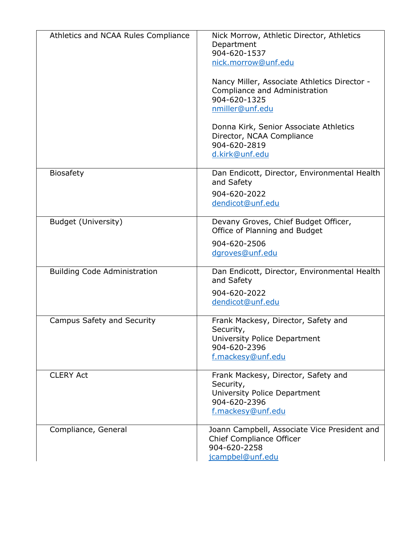| Athletics and NCAA Rules Compliance | Nick Morrow, Athletic Director, Athletics<br>Department<br>904-620-1537<br>nick.morrow@unf.edu                        |
|-------------------------------------|-----------------------------------------------------------------------------------------------------------------------|
|                                     | Nancy Miller, Associate Athletics Director -<br>Compliance and Administration<br>904-620-1325<br>nmiller@unf.edu      |
|                                     | Donna Kirk, Senior Associate Athletics<br>Director, NCAA Compliance<br>904-620-2819<br>d.kirk@unf.edu                 |
| <b>Biosafety</b>                    | Dan Endicott, Director, Environmental Health<br>and Safety<br>904-620-2022<br>dendicot@unf.edu                        |
|                                     |                                                                                                                       |
| <b>Budget (University)</b>          | Devany Groves, Chief Budget Officer,<br>Office of Planning and Budget                                                 |
|                                     | 904-620-2506<br>dgroves@unf.edu                                                                                       |
| <b>Building Code Administration</b> | Dan Endicott, Director, Environmental Health<br>and Safety                                                            |
|                                     | 904-620-2022<br>dendicot@unf.edu                                                                                      |
| Campus Safety and Security          | Frank Mackesy, Director, Safety and<br>Security,<br>University Police Department<br>904-620-2396<br>f.mackesy@unf.edu |
| <b>CLERY Act</b>                    | Frank Mackesy, Director, Safety and<br>Security,<br>University Police Department<br>904-620-2396<br>f.mackesy@unf.edu |
| Compliance, General                 | Joann Campbell, Associate Vice President and<br>Chief Compliance Officer<br>904-620-2258<br>jcampbel@unf.edu          |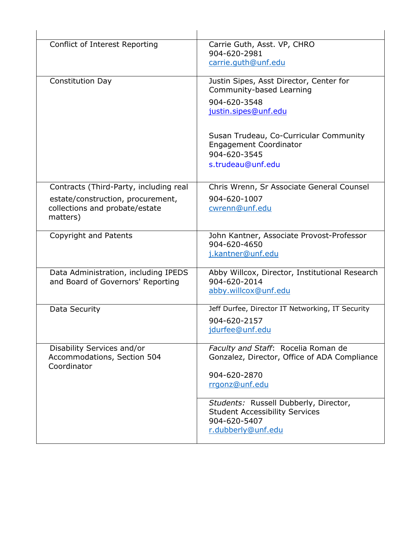| Conflict of Interest Reporting                                                                                            | Carrie Guth, Asst. VP, CHRO<br>904-620-2981<br>carrie.guth@unf.edu                                                                                                                                                          |
|---------------------------------------------------------------------------------------------------------------------------|-----------------------------------------------------------------------------------------------------------------------------------------------------------------------------------------------------------------------------|
| <b>Constitution Day</b>                                                                                                   | Justin Sipes, Asst Director, Center for<br>Community-based Learning<br>904-620-3548<br>justin.sipes@unf.edu<br>Susan Trudeau, Co-Curricular Community<br><b>Engagement Coordinator</b><br>904-620-3545<br>s.trudeau@unf.edu |
| Contracts (Third-Party, including real<br>estate/construction, procurement,<br>collections and probate/estate<br>matters) | Chris Wrenn, Sr Associate General Counsel<br>904-620-1007<br>cwrenn@unf.edu                                                                                                                                                 |
| <b>Copyright and Patents</b>                                                                                              | John Kantner, Associate Provost-Professor<br>904-620-4650<br>j.kantner@unf.edu                                                                                                                                              |
| Data Administration, including IPEDS<br>and Board of Governors' Reporting                                                 | Abby Willcox, Director, Institutional Research<br>904-620-2014<br>abby.willcox@unf.edu                                                                                                                                      |
| Data Security                                                                                                             | Jeff Durfee, Director IT Networking, IT Security<br>904-620-2157<br>jdurfee@unf.edu                                                                                                                                         |
| Disability Services and/or<br>Accommodations, Section 504<br>Coordinator                                                  | Faculty and Staff: Rocelia Roman de<br>Gonzalez, Director, Office of ADA Compliance<br>904-620-2870<br>rrgonz@unf.edu                                                                                                       |
|                                                                                                                           | Students: Russell Dubberly, Director,<br><b>Student Accessibility Services</b><br>904-620-5407<br>r.dubberly@unf.edu                                                                                                        |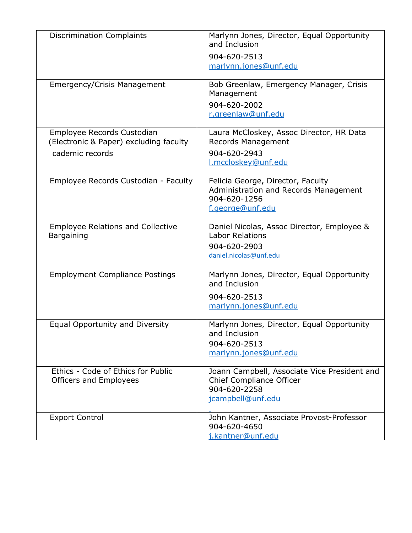| <b>Discrimination Complaints</b>         | Marlynn Jones, Director, Equal Opportunity<br>and Inclusion |
|------------------------------------------|-------------------------------------------------------------|
|                                          | 904-620-2513                                                |
|                                          | marlynn.jones@unf.edu                                       |
|                                          |                                                             |
| <b>Emergency/Crisis Management</b>       | Bob Greenlaw, Emergency Manager, Crisis<br>Management       |
|                                          | 904-620-2002                                                |
|                                          | r.greenlaw@unf.edu                                          |
|                                          |                                                             |
| Employee Records Custodian               | Laura McCloskey, Assoc Director, HR Data                    |
| (Electronic & Paper) excluding faculty   | <b>Records Management</b>                                   |
| cademic records                          | 904-620-2943                                                |
|                                          | I.mccloskey@unf.edu                                         |
|                                          |                                                             |
| Employee Records Custodian - Faculty     | Felicia George, Director, Faculty                           |
|                                          | Administration and Records Management                       |
|                                          | 904-620-1256                                                |
|                                          | f.george@unf.edu                                            |
|                                          |                                                             |
| <b>Employee Relations and Collective</b> | Daniel Nicolas, Assoc Director, Employee &                  |
| <b>Bargaining</b>                        | <b>Labor Relations</b>                                      |
|                                          | 904-620-2903                                                |
|                                          | daniel.nicolas@unf.edu                                      |
|                                          |                                                             |
| <b>Employment Compliance Postings</b>    | Marlynn Jones, Director, Equal Opportunity<br>and Inclusion |
|                                          | 904-620-2513                                                |
|                                          | marlynn.jones@unf.edu                                       |
|                                          |                                                             |
| Equal Opportunity and Diversity          | Marlynn Jones, Director, Equal Opportunity                  |
|                                          | and Inclusion                                               |
|                                          | 904-620-2513                                                |
|                                          | marlynn.jones@unf.edu                                       |
|                                          |                                                             |
| Ethics - Code of Ethics for Public       | Joann Campbell, Associate Vice President and                |
| Officers and Employees                   | Chief Compliance Officer                                    |
|                                          | 904-620-2258                                                |
|                                          | jcampbell@unf.edu                                           |
| <b>Export Control</b>                    | John Kantner, Associate Provost-Professor                   |
|                                          | 904-620-4650                                                |
|                                          | j.kantner@unf.edu                                           |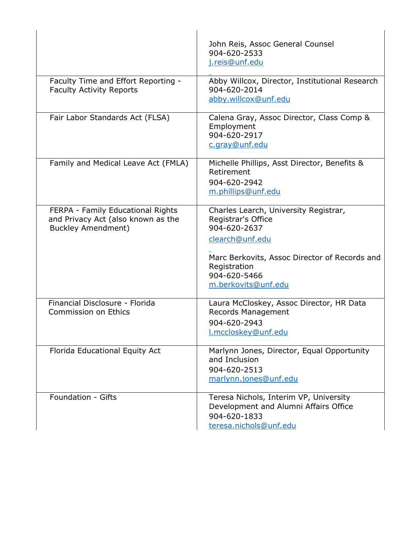|                                                                                                      | John Reis, Assoc General Counsel<br>904-620-2533<br>j.reis@unf.edu                                                                                                                                     |
|------------------------------------------------------------------------------------------------------|--------------------------------------------------------------------------------------------------------------------------------------------------------------------------------------------------------|
| Faculty Time and Effort Reporting -<br><b>Faculty Activity Reports</b>                               | Abby Willcox, Director, Institutional Research<br>904-620-2014<br>abby.willcox@unf.edu                                                                                                                 |
| Fair Labor Standards Act (FLSA)                                                                      | Calena Gray, Assoc Director, Class Comp &<br>Employment<br>904-620-2917<br>c.gray@unf.edu                                                                                                              |
| Family and Medical Leave Act (FMLA)                                                                  | Michelle Phillips, Asst Director, Benefits &<br>Retirement<br>904-620-2942<br>m.phillips@unf.edu                                                                                                       |
| FERPA - Family Educational Rights<br>and Privacy Act (also known as the<br><b>Buckley Amendment)</b> | Charles Learch, University Registrar,<br>Registrar's Office<br>904-620-2637<br>clearch@unf.edu<br>Marc Berkovits, Assoc Director of Records and<br>Registration<br>904-620-5466<br>m.berkovits@unf.edu |
| Financial Disclosure - Florida<br><b>Commission on Ethics</b>                                        | Laura McCloskey, Assoc Director, HR Data<br><b>Records Management</b><br>904-620-2943<br>l.mccloskey@unf.edu                                                                                           |
| Florida Educational Equity Act                                                                       | Marlynn Jones, Director, Equal Opportunity<br>and Inclusion<br>904-620-2513<br>marlynn.jones@unf.edu                                                                                                   |
| Foundation - Gifts                                                                                   | Teresa Nichols, Interim VP, University<br>Development and Alumni Affairs Office<br>904-620-1833<br>teresa.nichols@unf.edu                                                                              |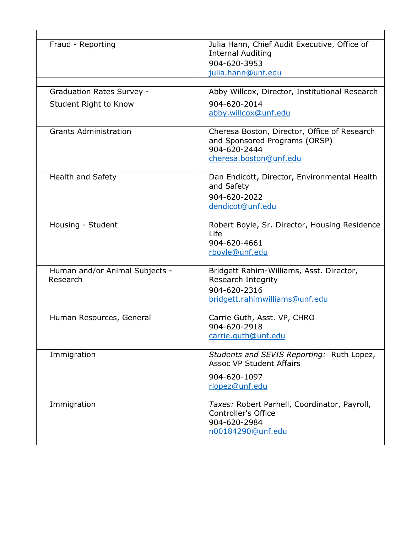| Fraud - Reporting                          | Julia Hann, Chief Audit Executive, Office of<br><b>Internal Auditing</b><br>904-620-3953<br><u>julia.hann@unf.edu</u>   |
|--------------------------------------------|-------------------------------------------------------------------------------------------------------------------------|
| <b>Graduation Rates Survey -</b>           | Abby Willcox, Director, Institutional Research                                                                          |
| Student Right to Know                      | 904-620-2014<br>abby.willcox@unf.edu                                                                                    |
| <b>Grants Administration</b>               | Cheresa Boston, Director, Office of Research<br>and Sponsored Programs (ORSP)<br>904-620-2444<br>cheresa.boston@unf.edu |
| Health and Safety                          | Dan Endicott, Director, Environmental Health<br>and Safety<br>904-620-2022<br>dendicot@unf.edu                          |
| Housing - Student                          | Robert Boyle, Sr. Director, Housing Residence<br>Life<br>904-620-4661<br>rboyle@unf.edu                                 |
| Human and/or Animal Subjects -<br>Research | Bridgett Rahim-Williams, Asst. Director,<br>Research Integrity<br>904-620-2316<br>bridgett.rahimwilliams@unf.edu        |
| Human Resources, General                   | Carrie Guth, Asst. VP, CHRO<br>904-620-2918<br>carrie.guth@unf.edu                                                      |
| Immigration                                | Students and SEVIS Reporting: Ruth Lopez,<br><b>Assoc VP Student Affairs</b><br>904-620-1097<br>rlopez@unf.edu          |
| Immigration                                | Taxes: Robert Parnell, Coordinator, Payroll,<br>Controller's Office<br>904-620-2984<br>n00184290@unf.edu                |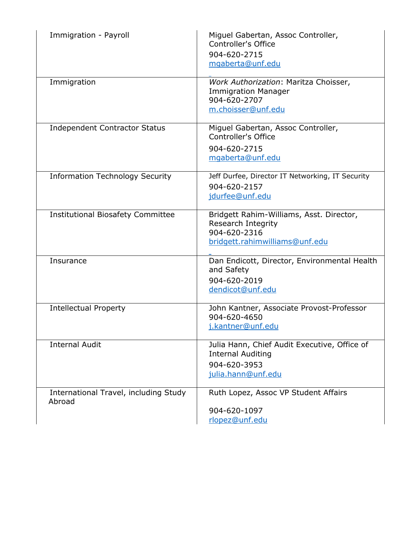| Immigration - Payroll                           | Miguel Gabertan, Assoc Controller,<br>Controller's Office<br>904-620-2715<br>mgaberta@unf.edu                    |
|-------------------------------------------------|------------------------------------------------------------------------------------------------------------------|
| Immigration                                     | Work Authorization: Maritza Choisser,<br><b>Immigration Manager</b><br>904-620-2707<br>m.choisser@unf.edu        |
| <b>Independent Contractor Status</b>            | Miguel Gabertan, Assoc Controller,<br>Controller's Office<br>904-620-2715<br>mgaberta@unf.edu                    |
| <b>Information Technology Security</b>          | Jeff Durfee, Director IT Networking, IT Security<br>904-620-2157<br>jdurfee@unf.edu                              |
| <b>Institutional Biosafety Committee</b>        | Bridgett Rahim-Williams, Asst. Director,<br>Research Integrity<br>904-620-2316<br>bridgett.rahimwilliams@unf.edu |
| Insurance                                       | Dan Endicott, Director, Environmental Health<br>and Safety<br>904-620-2019<br>dendicot@unf.edu                   |
| <b>Intellectual Property</b>                    | John Kantner, Associate Provost-Professor<br>904-620-4650<br>j.kantner@unf.edu                                   |
| <b>Internal Audit</b>                           | Julia Hann, Chief Audit Executive, Office of<br><b>Internal Auditing</b><br>904-620-3953<br>julia.hann@unf.edu   |
| International Travel, including Study<br>Abroad | Ruth Lopez, Assoc VP Student Affairs<br>904-620-1097<br>rlopez@unf.edu                                           |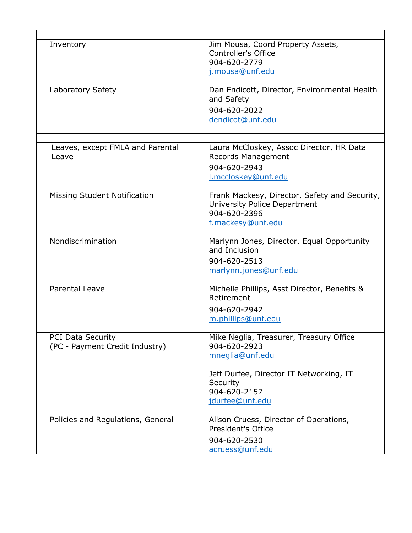| Inventory                                                  | Jim Mousa, Coord Property Assets,<br>Controller's Office<br>904-620-2779<br>j.mousa@unf.edu                                                                          |
|------------------------------------------------------------|----------------------------------------------------------------------------------------------------------------------------------------------------------------------|
| Laboratory Safety                                          | Dan Endicott, Director, Environmental Health<br>and Safety<br>904-620-2022<br>dendicot@unf.edu                                                                       |
| Leaves, except FMLA and Parental<br>Leave                  | Laura McCloskey, Assoc Director, HR Data<br><b>Records Management</b><br>904-620-2943<br>I.mccloskey@unf.edu                                                         |
| <b>Missing Student Notification</b>                        | Frank Mackesy, Director, Safety and Security,<br>University Police Department<br>904-620-2396<br>f.mackesy@unf.edu                                                   |
| Nondiscrimination                                          | Marlynn Jones, Director, Equal Opportunity<br>and Inclusion<br>904-620-2513<br>marlynn.jones@unf.edu                                                                 |
| <b>Parental Leave</b>                                      | Michelle Phillips, Asst Director, Benefits &<br>Retirement<br>904-620-2942<br>m.phillips@unf.edu                                                                     |
| <b>PCI Data Security</b><br>(PC - Payment Credit Industry) | Mike Neglia, Treasurer, Treasury Office<br>904-620-2923<br>mneglia@unf.edu<br>Jeff Durfee, Director IT Networking, IT<br>Security<br>904-620-2157<br>jdurfee@unf.edu |
| Policies and Regulations, General                          | Alison Cruess, Director of Operations,<br>President's Office<br>904-620-2530<br>acruess@unf.edu                                                                      |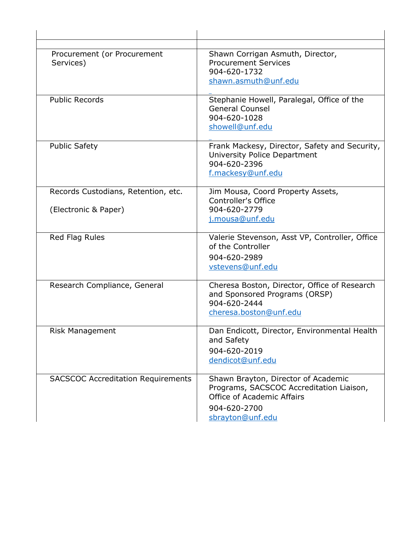| Procurement (or Procurement               | Shawn Corrigan Asmuth, Director,                                              |
|-------------------------------------------|-------------------------------------------------------------------------------|
| Services)                                 | <b>Procurement Services</b><br>904-620-1732                                   |
|                                           | shawn.asmuth@unf.edu                                                          |
|                                           |                                                                               |
| <b>Public Records</b>                     | Stephanie Howell, Paralegal, Office of the                                    |
|                                           | <b>General Counsel</b>                                                        |
|                                           | 904-620-1028                                                                  |
|                                           | showell@unf.edu                                                               |
| <b>Public Safety</b>                      | Frank Mackesy, Director, Safety and Security,                                 |
|                                           | University Police Department                                                  |
|                                           | 904-620-2396                                                                  |
|                                           | f.mackesy@unf.edu                                                             |
| Records Custodians, Retention, etc.       | Jim Mousa, Coord Property Assets,                                             |
|                                           | Controller's Office                                                           |
| (Electronic & Paper)                      | 904-620-2779                                                                  |
|                                           | j.mousa@unf.edu                                                               |
| Red Flag Rules                            | Valerie Stevenson, Asst VP, Controller, Office                                |
|                                           | of the Controller                                                             |
|                                           | 904-620-2989                                                                  |
|                                           | vstevens@unf.edu                                                              |
|                                           |                                                                               |
| Research Compliance, General              | Cheresa Boston, Director, Office of Research<br>and Sponsored Programs (ORSP) |
|                                           | 904-620-2444                                                                  |
|                                           | cheresa.boston@unf.edu                                                        |
|                                           |                                                                               |
| <b>Risk Management</b>                    | Dan Endicott, Director, Environmental Health                                  |
|                                           | and Safety                                                                    |
|                                           | 904-620-2019                                                                  |
|                                           | dendicot@unf.edu                                                              |
| <b>SACSCOC Accreditation Requirements</b> | Shawn Brayton, Director of Academic                                           |
|                                           | Programs, SACSCOC Accreditation Liaison,                                      |
|                                           | Office of Academic Affairs                                                    |
|                                           | 904-620-2700                                                                  |
|                                           | sbrayton@unf.edu                                                              |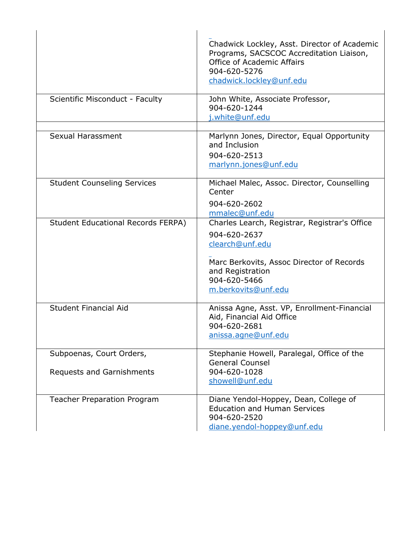|                                           | Chadwick Lockley, Asst. Director of Academic<br>Programs, SACSCOC Accreditation Liaison,<br><b>Office of Academic Affairs</b><br>904-620-5276<br>chadwick.lockley@unf.edu                |
|-------------------------------------------|------------------------------------------------------------------------------------------------------------------------------------------------------------------------------------------|
| Scientific Misconduct - Faculty           | John White, Associate Professor,<br>904-620-1244<br>j.white@unf.edu                                                                                                                      |
| Sexual Harassment                         | Marlynn Jones, Director, Equal Opportunity<br>and Inclusion<br>904-620-2513<br>marlynn.jones@unf.edu                                                                                     |
| <b>Student Counseling Services</b>        | Michael Malec, Assoc. Director, Counselling<br>Center<br>904-620-2602<br>mmalec@unf.edu                                                                                                  |
| <b>Student Educational Records FERPA)</b> | Charles Learch, Registrar, Registrar's Office<br>904-620-2637<br>clearch@unf.edu<br>Marc Berkovits, Assoc Director of Records<br>and Registration<br>904-620-5466<br>m.berkovits@unf.edu |
| <b>Student Financial Aid</b>              | Anissa Agne, Asst. VP, Enrollment-Financial<br>Aid, Financial Aid Office<br>904-620-2681<br>anissa.agne@unf.edu                                                                          |
| Subpoenas, Court Orders,                  | Stephanie Howell, Paralegal, Office of the<br><b>General Counsel</b>                                                                                                                     |
| Requests and Garnishments                 | 904-620-1028<br>showell@unf.edu                                                                                                                                                          |
| <b>Teacher Preparation Program</b>        | Diane Yendol-Hoppey, Dean, College of<br><b>Education and Human Services</b><br>904-620-2520<br>diane.yendol-hoppey@unf.edu                                                              |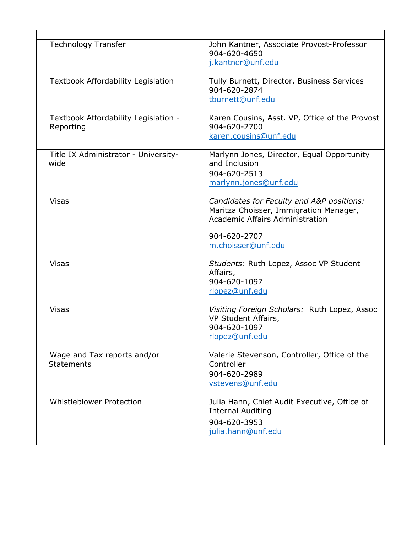| <b>Technology Transfer</b>                        | John Kantner, Associate Provost-Professor<br>904-620-4650<br>j.kantner@unf.edu                                                                               |
|---------------------------------------------------|--------------------------------------------------------------------------------------------------------------------------------------------------------------|
| <b>Textbook Affordability Legislation</b>         | Tully Burnett, Director, Business Services<br>904-620-2874<br>tburnett@unf.edu                                                                               |
| Textbook Affordability Legislation -<br>Reporting | Karen Cousins, Asst. VP, Office of the Provost<br>904-620-2700<br>karen.cousins@unf.edu                                                                      |
| Title IX Administrator - University-<br>wide      | Marlynn Jones, Director, Equal Opportunity<br>and Inclusion<br>904-620-2513<br>marlynn.jones@unf.edu                                                         |
| <b>Visas</b>                                      | Candidates for Faculty and A&P positions:<br>Maritza Choisser, Immigration Manager,<br>Academic Affairs Administration<br>904-620-2707<br>m.choisser@unf.edu |
| Visas                                             | Students: Ruth Lopez, Assoc VP Student<br>Affairs,<br>904-620-1097<br>rlopez@unf.edu                                                                         |
| <b>Visas</b>                                      | Visiting Foreign Scholars: Ruth Lopez, Assoc<br>VP Student Affairs,<br>904-620-1097<br>rlopez@unf.edu                                                        |
| Wage and Tax reports and/or<br><b>Statements</b>  | Valerie Stevenson, Controller, Office of the<br>Controller<br>904-620-2989<br>vstevens@unf.edu                                                               |
| <b>Whistleblower Protection</b>                   | Julia Hann, Chief Audit Executive, Office of<br><b>Internal Auditing</b><br>904-620-3953<br>julia.hann@unf.edu                                               |